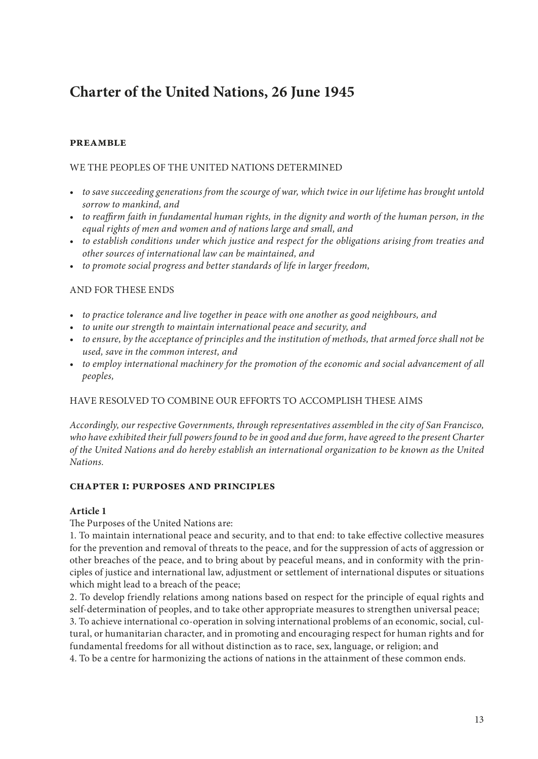# **Charter of the United Nations, 26 June 1945**

### **PREAMBLE**

### WE THE PEOPLES OF THE UNITED NATIONS DETERMINED

- *to save succeeding generations from the scourge of war, which twice in our lifetime has brought untold sorrow to mankind, and*
- *to reaffirm faith in fundamental human rights, in the dignity and worth of the human person, in the equal rights of men and women and of nations large and small, and*
- *to establish conditions under which justice and respect for the obligations arising from treaties and other sources of international law can be maintained, and*
- *to promote social progress and better standards of life in larger freedom,*

### AND FOR THESE ENDS

- *to practice tolerance and live together in peace with one another as good neighbours, and*
- *to unite our strength to maintain international peace and security, and*
- *to ensure, by the acceptance of principles and the institution of methods, that armed force shall not be used, save in the common interest, and*
- *to employ international machinery for the promotion of the economic and social advancement of all peoples,*

### HAVE RESOLVED TO COMBINE OUR EFFORTS TO ACCOMPLISH THESE AIMS

*Accordingly, our respective Governments, through representatives assembled in the city of San Francisco, who have exhibited their full powers found to be in good and due form, have agreed to the present Charter of the United Nations and do hereby establish an international organization to be known as the United Nations.*

#### **chapter i: purposes and principles**

#### **Article 1**

The Purposes of the United Nations are:

1. To maintain international peace and security, and to that end: to take effective collective measures for the prevention and removal of threats to the peace, and for the suppression of acts of aggression or other breaches of the peace, and to bring about by peaceful means, and in conformity with the principles of justice and international law, adjustment or settlement of international disputes or situations which might lead to a breach of the peace;

2. To develop friendly relations among nations based on respect for the principle of equal rights and self-determination of peoples, and to take other appropriate measures to strengthen universal peace;

3. To achieve international co-operation in solving international problems of an economic, social, cultural, or humanitarian character, and in promoting and encouraging respect for human rights and for fundamental freedoms for all without distinction as to race, sex, language, or religion; and

4. To be a centre for harmonizing the actions of nations in the attainment of these common ends.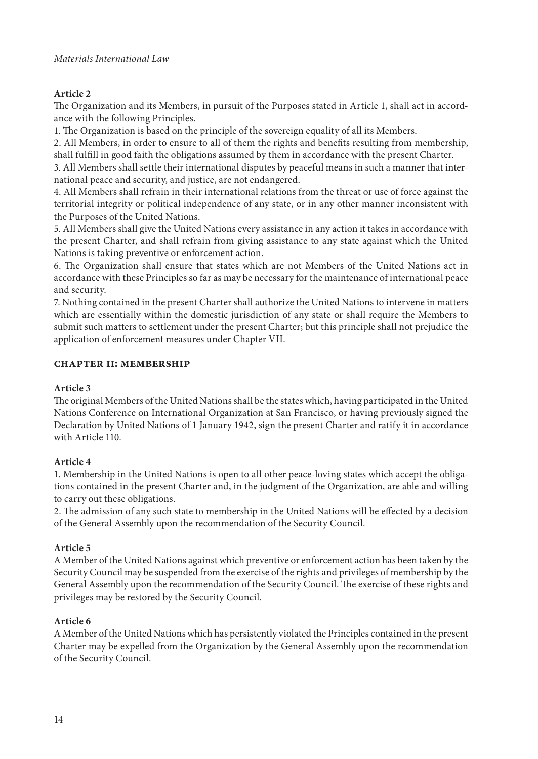# **Article 2**

The Organization and its Members, in pursuit of the Purposes stated in Article 1, shall act in accordance with the following Principles.

1. The Organization is based on the principle of the sovereign equality of all its Members.

2. All Members, in order to ensure to all of them the rights and benefits resulting from membership, shall fulfill in good faith the obligations assumed by them in accordance with the present Charter.

3. All Members shall settle their international disputes by peaceful means in such a manner that international peace and security, and justice, are not endangered.

4. All Members shall refrain in their international relations from the threat or use of force against the territorial integrity or political independence of any state, or in any other manner inconsistent with the Purposes of the United Nations.

5. All Members shall give the United Nations every assistance in any action it takes in accordance with the present Charter, and shall refrain from giving assistance to any state against which the United Nations is taking preventive or enforcement action.

6. The Organization shall ensure that states which are not Members of the United Nations act in accordance with these Principles so far as may be necessary for the maintenance of international peace and security.

7. Nothing contained in the present Charter shall authorize the United Nations to intervene in matters which are essentially within the domestic jurisdiction of any state or shall require the Members to submit such matters to settlement under the present Charter; but this principle shall not prejudice the application of enforcement measures under Chapter VII.

# **chapter ii: membership**

# **Article 3**

The original Members of the United Nations shall be the states which, having participated in the United Nations Conference on International Organization at San Francisco, or having previously signed the Declaration by United Nations of 1 January 1942, sign the present Charter and ratify it in accordance with Article 110.

# **Article 4**

1. Membership in the United Nations is open to all other peace-loving states which accept the obligations contained in the present Charter and, in the judgment of the Organization, are able and willing to carry out these obligations.

2. The admission of any such state to membership in the United Nations will be effected by a decision of the General Assembly upon the recommendation of the Security Council.

# **Article 5**

A Member of the United Nations against which preventive or enforcement action has been taken by the Security Council may be suspended from the exercise of the rights and privileges of membership by the General Assembly upon the recommendation of the Security Council. The exercise of these rights and privileges may be restored by the Security Council.

# **Article 6**

A Member of the United Nations which has persistently violated the Principles contained in the present Charter may be expelled from the Organization by the General Assembly upon the recommendation of the Security Council.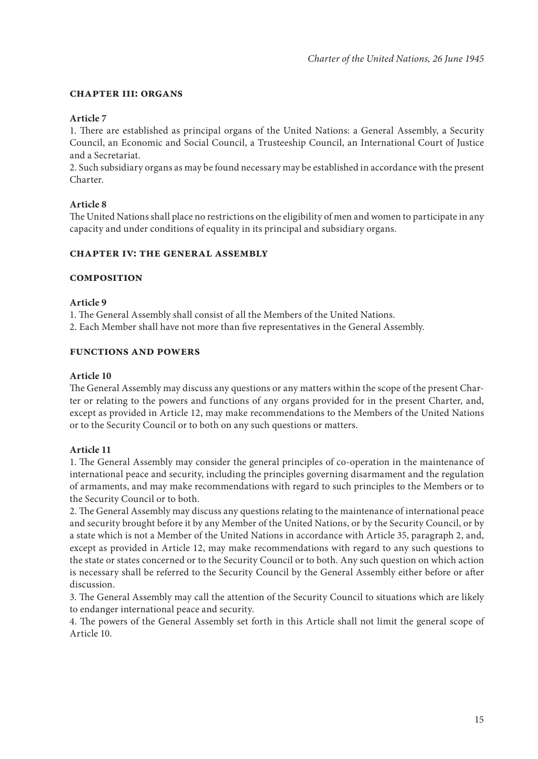### **chapter iii: organs**

### **Article 7**

1. There are established as principal organs of the United Nations: a General Assembly, a Security Council, an Economic and Social Council, a Trusteeship Council, an International Court of Justice and a Secretariat.

2. Such subsidiary organs as may be found necessary may be established in accordance with the present Charter.

# **Article 8**

The United Nations shall place no restrictions on the eligibility of men and women to participate in any capacity and under conditions of equality in its principal and subsidiary organs.

#### **chapter iv: the general assembly**

# **Composition**

### **Article 9**

1. The General Assembly shall consist of all the Members of the United Nations.

2. Each Member shall have not more than five representatives in the General Assembly.

### **Functions and Powers**

### **Article 10**

The General Assembly may discuss any questions or any matters within the scope of the present Charter or relating to the powers and functions of any organs provided for in the present Charter, and, except as provided in Article 12, may make recommendations to the Members of the United Nations or to the Security Council or to both on any such questions or matters.

# **Article 11**

1. The General Assembly may consider the general principles of co-operation in the maintenance of international peace and security, including the principles governing disarmament and the regulation of armaments, and may make recommendations with regard to such principles to the Members or to the Security Council or to both.

2. The General Assembly may discuss any questions relating to the maintenance of international peace and security brought before it by any Member of the United Nations, or by the Security Council, or by a state which is not a Member of the United Nations in accordance with Article 35, paragraph 2, and, except as provided in Article 12, may make recommendations with regard to any such questions to the state or states concerned or to the Security Council or to both. Any such question on which action is necessary shall be referred to the Security Council by the General Assembly either before or after discussion.

3. The General Assembly may call the attention of the Security Council to situations which are likely to endanger international peace and security.

4. The powers of the General Assembly set forth in this Article shall not limit the general scope of Article 10.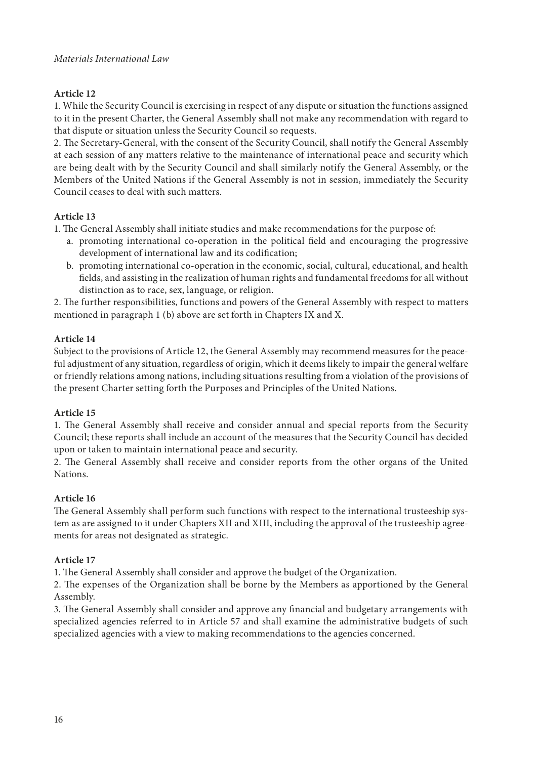# **Article 12**

1. While the Security Council is exercising in respect of any dispute or situation the functions assigned to it in the present Charter, the General Assembly shall not make any recommendation with regard to that dispute or situation unless the Security Council so requests.

2. The Secretary-General, with the consent of the Security Council, shall notify the General Assembly at each session of any matters relative to the maintenance of international peace and security which are being dealt with by the Security Council and shall similarly notify the General Assembly, or the Members of the United Nations if the General Assembly is not in session, immediately the Security Council ceases to deal with such matters.

# **Article 13**

1. The General Assembly shall initiate studies and make recommendations for the purpose of:

- a. promoting international co-operation in the political field and encouraging the progressive development of international law and its codification;
- b. promoting international co-operation in the economic, social, cultural, educational, and health fields, and assisting in the realization of human rights and fundamental freedoms for all without distinction as to race, sex, language, or religion.

2. The further responsibilities, functions and powers of the General Assembly with respect to matters mentioned in paragraph 1 (b) above are set forth in Chapters IX and X.

# **Article 14**

Subject to the provisions of Article 12, the General Assembly may recommend measures for the peaceful adjustment of any situation, regardless of origin, which it deems likely to impair the general welfare or friendly relations among nations, including situations resulting from a violation of the provisions of the present Charter setting forth the Purposes and Principles of the United Nations.

# **Article 15**

1. The General Assembly shall receive and consider annual and special reports from the Security Council; these reports shall include an account of the measures that the Security Council has decided upon or taken to maintain international peace and security.

2. The General Assembly shall receive and consider reports from the other organs of the United Nations.

# **Article 16**

The General Assembly shall perform such functions with respect to the international trusteeship system as are assigned to it under Chapters XII and XIII, including the approval of the trusteeship agreements for areas not designated as strategic.

# **Article 17**

1. The General Assembly shall consider and approve the budget of the Organization.

2. The expenses of the Organization shall be borne by the Members as apportioned by the General Assembly.

3. The General Assembly shall consider and approve any financial and budgetary arrangements with specialized agencies referred to in Article 57 and shall examine the administrative budgets of such specialized agencies with a view to making recommendations to the agencies concerned.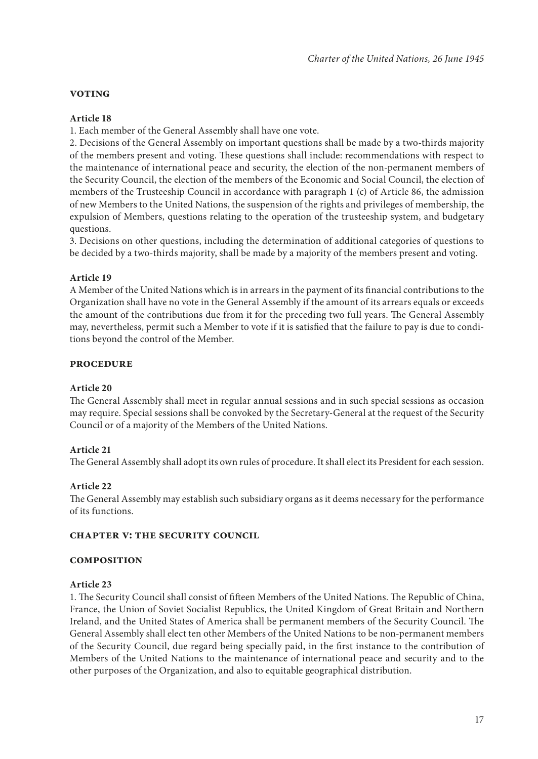### **Voting**

### **Article 18**

1. Each member of the General Assembly shall have one vote.

2. Decisions of the General Assembly on important questions shall be made by a two-thirds majority of the members present and voting. These questions shall include: recommendations with respect to the maintenance of international peace and security, the election of the non-permanent members of the Security Council, the election of the members of the Economic and Social Council, the election of members of the Trusteeship Council in accordance with paragraph 1 (c) of Article 86, the admission of new Members to the United Nations, the suspension of the rights and privileges of membership, the expulsion of Members, questions relating to the operation of the trusteeship system, and budgetary questions.

3. Decisions on other questions, including the determination of additional categories of questions to be decided by a two-thirds majority, shall be made by a majority of the members present and voting.

# **Article 19**

A Member of the United Nations which is in arrears in the payment of its financial contributions to the Organization shall have no vote in the General Assembly if the amount of its arrears equals or exceeds the amount of the contributions due from it for the preceding two full years. The General Assembly may, nevertheless, permit such a Member to vote if it is satisfied that the failure to pay is due to conditions beyond the control of the Member.

### **Procedure**

#### **Article 20**

The General Assembly shall meet in regular annual sessions and in such special sessions as occasion may require. Special sessions shall be convoked by the Secretary-General at the request of the Security Council or of a majority of the Members of the United Nations.

# **Article 21**

The General Assembly shall adopt its own rules of procedure. It shall elect its President for each session.

# **Article 22**

The General Assembly may establish such subsidiary organs as it deems necessary for the performance of its functions.

#### **Chapter v: the security council**

#### **COMPOSITION**

#### **Article 23**

1. The Security Council shall consist of fifteen Members of the United Nations. The Republic of China, France, the Union of Soviet Socialist Republics, the United Kingdom of Great Britain and Northern Ireland, and the United States of America shall be permanent members of the Security Council. The General Assembly shall elect ten other Members of the United Nations to be non-permanent members of the Security Council, due regard being specially paid, in the first instance to the contribution of Members of the United Nations to the maintenance of international peace and security and to the other purposes of the Organization, and also to equitable geographical distribution.